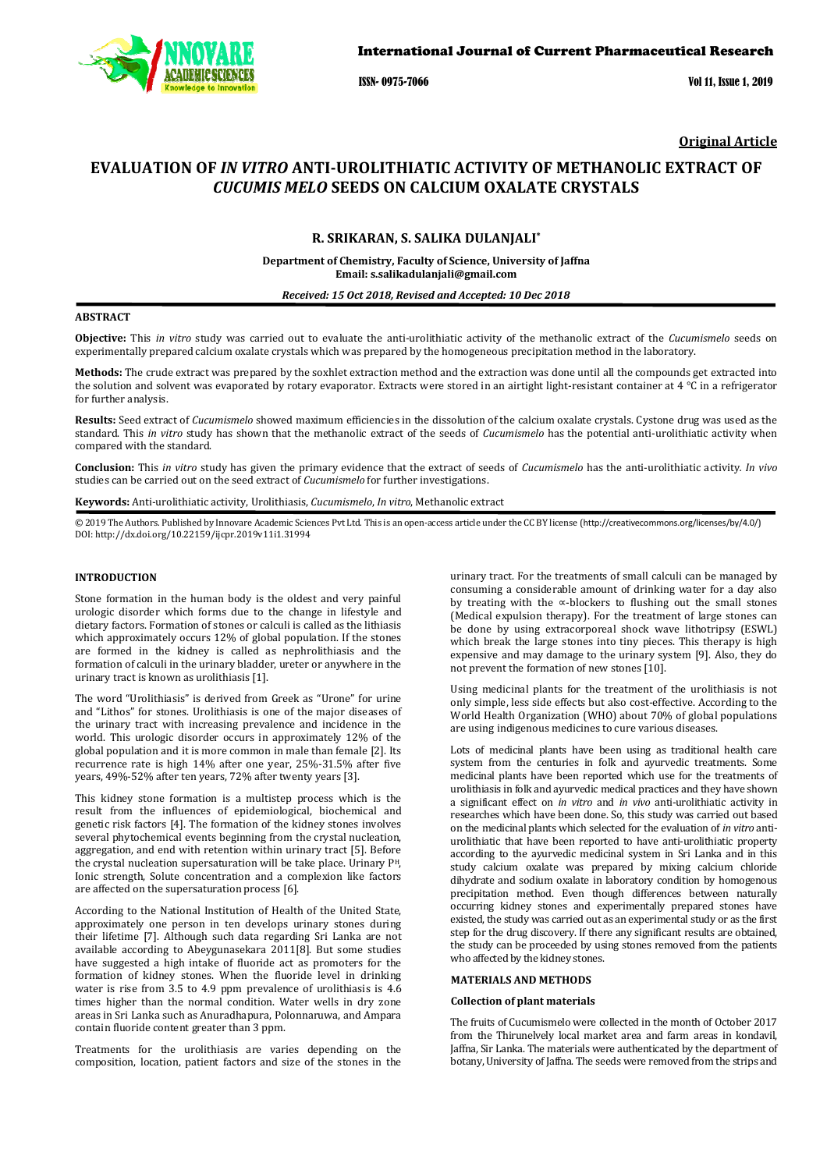

ISSN- 0975-7066 Vol 11, Issue 1, 2019

**Original Article** 

# **EVALUATION OF** *IN VITRO* **ANTI-UROLITHIATIC ACTIVITY OF METHANOLIC EXTRACT OF**  *CUCUMIS MELO* **SEEDS ON CALCIUM OXALATE CRYSTALS**

# **R. SRIKARAN, S. SALIKA DULANJALI\***

**Department of Chemistry, Faculty of Science, University of Jaffna Email: s.salikadulanjali@gmail.com**

*Received: 15 Oct 2018, Revised and Accepted: 10 Dec 2018* 

## **ABSTRACT**

**Objective:** This *in vitro* study was carried out to evaluate the anti-urolithiatic activity of the methanolic extract of the *Cucumismelo* seeds on experimentally prepared calcium oxalate crystals which was prepared by the homogeneous precipitation method in the laboratory.

**Methods:** The crude extract was prepared by the soxhlet extraction method and the extraction was done until all the compounds get extracted into the solution and solvent was evaporated by rotary evaporator. Extracts were stored in an airtight light-resistant container at 4 °C in a refrigerator for further analysis.

**Results:** Seed extract of *Cucumismelo* showed maximum efficiencies in the dissolution of the calcium oxalate crystals. Cystone drug was used as the standard. This *in vitro* study has shown that the methanolic extract of the seeds of *Cucumismelo* has the potential anti-urolithiatic activity when compared with the standard.

**Conclusion:** This *in vitro* study has given the primary evidence that the extract of seeds of *Cucumismelo* has the anti-urolithiatic activity*. In vivo* studies can be carried out on the seed extract of *Cucumismelo* for further investigations.

**Keywords:** Anti-urolithiatic activity, Urolithiasis, *Cucumismelo*, *In vitro*, Methanolic extract

© 2019 The Authors. Published by Innovare Academic Sciences Pvt Ltd. This is an open-access article under the CC BY license (http://creativecommons.org/licenses/by/4.0/) DOI: http://dx.doi.org/10.22159/ijcpr.2019v11i1.31994

## **INTRODUCTION**

Stone formation in the human body is the oldest and very painful urologic disorder which forms due to the change in lifestyle and dietary factors. Formation of stones or calculi is called as the lithiasis which approximately occurs 12% of global population. If the stones are formed in the kidney is called as nephrolithiasis and the formation of calculi in the urinary bladder, ureter or anywhere in the urinary tract is known as urolithiasis [1].

The word "Urolithiasis" is derived from Greek as "Urone" for urine and "Lithos" for stones. Urolithiasis is one of the major diseases of the urinary tract with increasing prevalence and incidence in the world. This urologic disorder occurs in approximately 12% of the global population and it is more common in male than female [2]. Its recurrence rate is high 14% after one year, 25%-31.5% after five years, 49%-52% after ten years, 72% after twenty years [3].

This kidney stone formation is a multistep process which is the result from the influences of epidemiological, biochemical and genetic risk factors [4]. The formation of the kidney stones involves several phytochemical events beginning from the crystal nucleation, aggregation, and end with retention within urinary tract [5]. Before the crystal nucleation supersaturation will be take place. Urinary PH, Ionic strength, Solute concentration and a complexion like factors are affected on the supersaturation process [6].

According to the National Institution of Health of the United State, approximately one person in ten develops urinary stones during their lifetime [7]. Although such data regarding Sri Lanka are not available according to Abeygunasekara 2011[8]. But some studies have suggested a high intake of fluoride act as promoters for the formation of kidney stones. When the fluoride level in drinking water is rise from 3.5 to 4.9 ppm prevalence of urolithiasis is 4.6 times higher than the normal condition. Water wells in dry zone areas in Sri Lanka such as Anuradhapura, Polonnaruwa, and Ampara contain fluoride content greater than 3 ppm.

Treatments for the urolithiasis are varies depending on the composition, location, patient factors and size of the stones in the urinary tract. For the treatments of small calculi can be managed by consuming a considerable amount of drinking water for a day also by treating with the ∝-blockers to flushing out the small stones (Medical expulsion therapy). For the treatment of large stones can be done by using extracorporeal shock wave lithotripsy (ESWL) which break the large stones into tiny pieces. This therapy is high expensive and may damage to the urinary system [9]. Also, they do not prevent the formation of new stones [10].

Using medicinal plants for the treatment of the urolithiasis is not only simple, less side effects but also cost-effective. According to the World Health Organization (WHO) about 70% of global populations are using indigenous medicines to cure various diseases.

Lots of medicinal plants have been using as traditional health care system from the centuries in folk and ayurvedic treatments. Some medicinal plants have been reported which use for the treatments of urolithiasis in folk and ayurvedic medical practices and they have shown a significant effect on *in vitro* and *in vivo* anti-urolithiatic activity in researches which have been done. So, this study was carried out based on the medicinal plants which selected for the evaluation of *in vitro* antiurolithiatic that have been reported to have anti-urolithiatic property according to the ayurvedic medicinal system in Sri Lanka and in this study calcium oxalate was prepared by mixing calcium chloride dihydrate and sodium oxalate in laboratory condition by homogenous precipitation method. Even though differences between naturally occurring kidney stones and experimentally prepared stones have existed, the study was carried out as an experimental study or as the first step for the drug discovery. If there any significant results are obtained, the study can be proceeded by using stones removed from the patients who affected by the kidney stones.

## **MATERIALS AND METHODS**

## **Collection of plant materials**

The fruits of Cucumismelo were collected in the month of October 2017 from the Thirunelvely local market area and farm areas in kondavil, Jaffna, Sir Lanka. The materials were authenticated by the department of botany, University of Jaffna. The seeds were removed from the strips and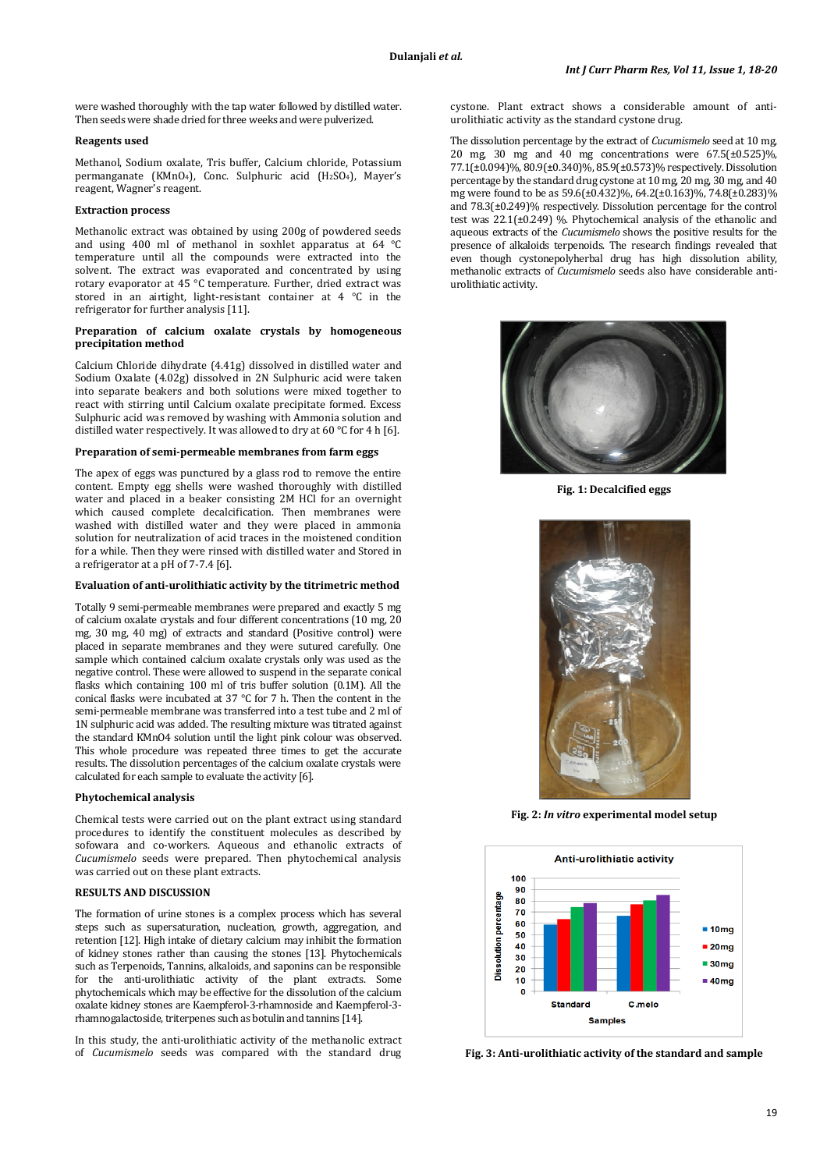were washed thoroughly with the tap water followed by distilled water. Then seeds were shade dried for three weeks and were pulverized.

## **Reagents used**

Methanol, Sodium oxalate, Tris buffer, Calcium chloride, Potassium permanganate (KMnO<sub>4</sub>), Conc. Sulphuric acid (H<sub>2</sub>SO<sub>4</sub>), Mayer's reagent, Wagner's reagent.

## **Extraction process**

Methanolic extract was obtained by using 200g of powdered seeds and using 400 ml of methanol in soxhlet apparatus at 64 °C temperature until all the compounds were extracted into the solvent. The extract was evaporated and concentrated by using rotary evaporator at 45 °C temperature. Further, dried extract was stored in an airtight, light-resistant container at 4 °C in the refrigerator for further analysis [11].

## **Preparation of calcium oxalate crystals by homogeneous precipitation method**

Calcium Chloride dihydrate (4.41g) dissolved in distilled water and Sodium Oxalate (4.02g) dissolved in 2N Sulphuric acid were taken into separate beakers and both solutions were mixed together to react with stirring until Calcium oxalate precipitate formed. Excess Sulphuric acid was removed by washing with Ammonia solution and distilled water respectively. It was allowed to dry at 60 °C for 4 h [6].

#### **Preparation of semi-permeable membranes from farm eggs**

The apex of eggs was punctured by a glass rod to remove the entire content. Empty egg shells were washed thoroughly with distilled water and placed in a beaker consisting 2M HCl for an overnight which caused complete decalcification. Then membranes were washed with distilled water and they were placed in ammonia solution for neutralization of acid traces in the moistened condition for a while. Then they were rinsed with distilled water and Stored in a refrigerator at a pH of 7-7.4 [6].

# **Evaluation of anti-urolithiatic activity by the titrimetric method**

Totally 9 semi-permeable membranes were prepared and exactly 5 mg of calcium oxalate crystals and four different concentrations (10 mg, 20 mg, 30 mg, 40 mg) of extracts and standard (Positive control) were placed in separate membranes and they were sutured carefully. One sample which contained calcium oxalate crystals only was used as the negative control. These were allowed to suspend in the separate conical flasks which containing 100 ml of tris buffer solution (0.1M). All the conical flasks were incubated at 37 °C for 7 h. Then the content in the semi-permeable membrane was transferred into a test tube and 2 ml of 1N sulphuric acid was added. The resulting mixture was titrated against the standard KMnO4 solution until the light pink colour was observed. This whole procedure was repeated three times to get the accurate results. The dissolution percentages of the calcium oxalate crystals were calculated for each sample to evaluate the activity [6].

#### **Phytochemical analysis**

Chemical tests were carried out on the plant extract using standard procedures to identify the constituent molecules as described by sofowara and co-workers. Aqueous and ethanolic extracts of *Cucumismelo* seeds were prepared. Then phytochemical analysis was carried out on these plant extracts.

# **RESULTS AND DISCUSSION**

The formation of urine stones is a complex process which has several steps such as supersaturation, nucleation, growth, aggregation, and retention [12]. High intake of dietary calcium may inhibit the formation of kidney stones rather than causing the stones [13]. Phytochemicals such as Terpenoids, Tannins, alkaloids, and saponins can be responsible for the anti-urolithiatic activity of the plant extracts. Some phytochemicals which may be effective for the dissolution of the calcium oxalate kidney stones are Kaempferol-3-rhamnoside and Kaempferol-3 rhamnogalactoside, triterpenes such as botulin and tannins [14].

In this study, the anti-urolithiatic activity of the methanolic extract of *Cucumismelo* seeds was compared with the standard drug cystone. Plant extract shows a considerable amount of antiurolithiatic activity as the standard cystone drug.

The dissolution percentage by the extract of *Cucumismelo* seed at 10 mg, 20 mg, 30 mg and 40 mg concentrations were 67.5(±0.525)%, 77.1(±0.094)%, 80.9(±0.340)%, 85.9(±0.573)% respectively. Dissolution percentage by the standard drug cystone at 10 mg, 20 mg, 30 mg, and 40 mg were found to be as 59.6(±0.432)%, 64.2(±0.163)%, 74.8(±0.283)% and 78.3(±0.249)% respectively. Dissolution percentage for the control test was  $22.1(\pm 0.249)$  %. Phytochemical analysis of the ethanolic and aqueous extracts of the *Cucumismelo* shows the positive results for the presence of alkaloids terpenoids. The research findings revealed that even though cystonepolyherbal drug has high dissolution ability, methanolic extracts of *Cucumismelo* seeds also have considerable antiurolithiatic activity.



**Fig. 1: Decalcified eggs** 



**Fig. 2:** *In vitro* **experimental model setup** 



**Fig. 3: Anti-urolithiatic activity of the standard and sample**